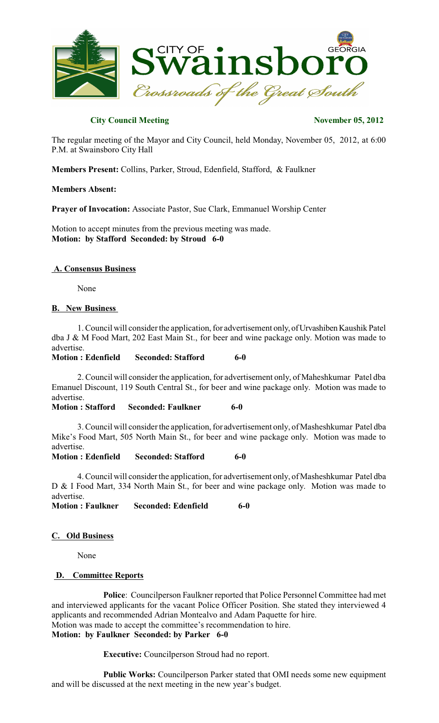

# **City Council Meeting November 05, 2012**

The regular meeting of the Mayor and City Council, held Monday, November 05, 2012, at 6:00 P.M. at Swainsboro City Hall

**Members Present:** Collins, Parker, Stroud, Edenfield, Stafford, & Faulkner

### **Members Absent:**

**Prayer of Invocation:** Associate Pastor, Sue Clark, Emmanuel Worship Center

Motion to accept minutes from the previous meeting was made. **Motion: by Stafford Seconded: by Stroud 6-0**

### **A. Consensus Business**

None

## **B. New Business**

1. Council will consider the application, for advertisement only, ofUrvashiben Kaushik Patel dba J & M Food Mart, 202 East Main St., for beer and wine package only. Motion was made to advertise.

**Motion : Edenfield Seconded: Stafford 6-0**

2. Council will consider the application, for advertisement only, of Maheshkumar Patel dba Emanuel Discount, 119 South Central St., for beer and wine package only. Motion was made to advertise.

### **Motion : Stafford Seconded: Faulkner 6-0**

3. Council will consider the application, for advertisement only, of Masheshkumar Patel dba Mike's Food Mart, 505 North Main St., for beer and wine package only. Motion was made to advertise.

**Motion : Edenfield Seconded: Stafford 6-0**

4. Council will consider the application, for advertisement only, of Masheshkumar Patel dba D & I Food Mart, 334 North Main St., for beer and wine package only. Motion was made to advertise.

**Motion : Faulkner Seconded: Edenfield 6-0**

# **C. Old Business**

None

### **D. Committee Reports**

**Police**: Councilperson Faulkner reported that Police Personnel Committee had met and interviewed applicants for the vacant Police Officer Position. She stated they interviewed 4 applicants and recommended Adrian Montealvo and Adam Paquette for hire. Motion was made to accept the committee's recommendation to hire. **Motion: by Faulkner Seconded: by Parker 6-0**

**Executive:** Councilperson Stroud had no report.

**Public Works:** Councilperson Parker stated that OMI needs some new equipment and will be discussed at the next meeting in the new year's budget.